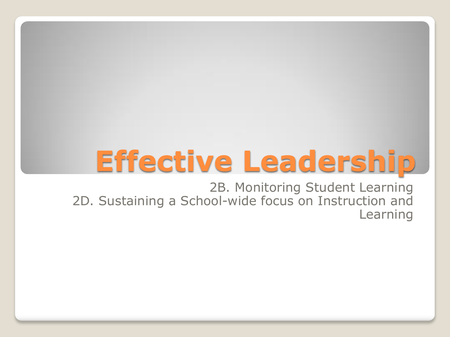# **Effective Leadership**

2B. Monitoring Student Learning 2D. Sustaining a School-wide focus on Instruction and Learning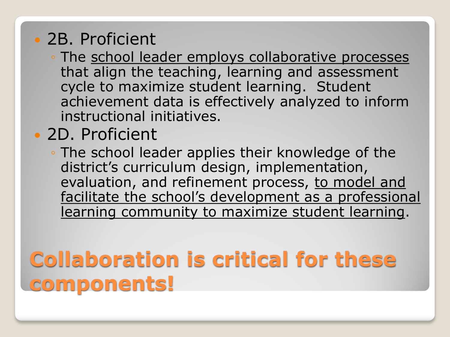#### 2B. Proficient

- The school leader employs collaborative processes that align the teaching, learning and assessment cycle to maximize student learning. Student achievement data is effectively analyzed to inform instructional initiatives.
- 2D. Proficient
	- The school leader applies their knowledge of the district's curriculum design, implementation, evaluation, and refinement process, to model and facilitate the school's development as a professional learning community to maximize student learning.

### **Collaboration is critical for these components!**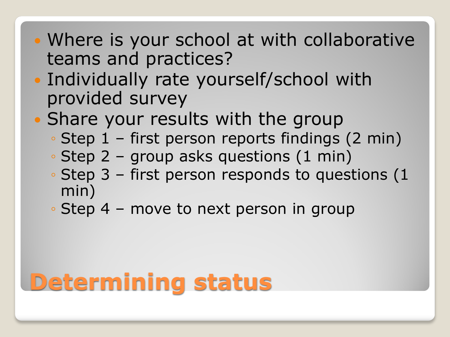- Where is your school at with collaborative teams and practices?
- Individually rate yourself/school with provided survey
- Share your results with the group
	- Step 1 first person reports findings (2 min)
	- Step 2 group asks questions (1 min)
	- Step 3 first person responds to questions (1 min)
	- Step 4 move to next person in group

## **Determining status**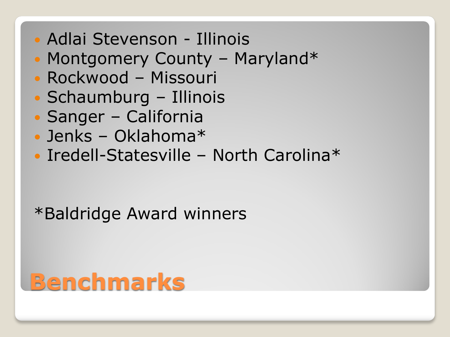- Adlai Stevenson Illinois
- Montgomery County Maryland\*
- Rockwood Missouri
- Schaumburg Illinois
- Sanger California
- Jenks Oklahoma\*
- Iredell-Statesville North Carolina\*

#### \*Baldridge Award winners

### **Benchmarks**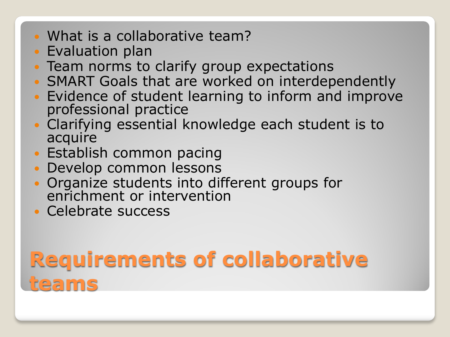- What is a collaborative team?
- Evaluation plan
- Team norms to clarify group expectations
- SMART Goals that are worked on interdependently
- Evidence of student learning to inform and improve professional practice
- Clarifying essential knowledge each student is to acquire
- Establish common pacing
- Develop common lessons
- Organize students into different groups for enrichment or intervention
- Celebrate success

### **Requirements of collaborative teams**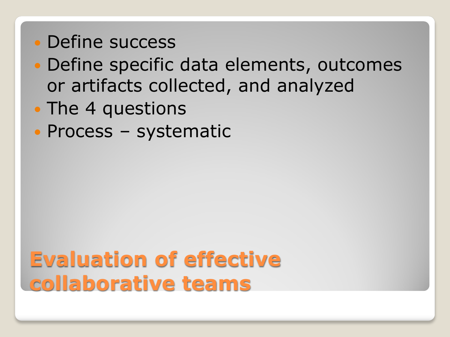#### • Define success

- Define specific data elements, outcomes or artifacts collected, and analyzed
- The 4 questions
- Process systematic

#### **Evaluation of effective collaborative teams**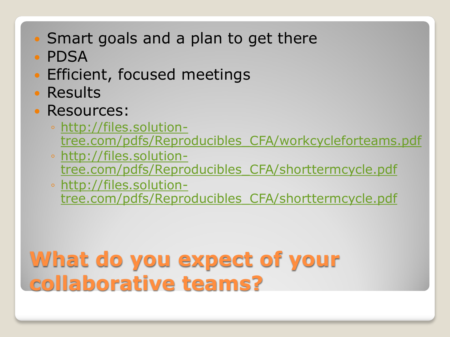- Smart goals and a plan to get there
- PDSA
- **Efficient, focused meetings**
- Results
- Resources:
	- [http://files.solution](http://files.solution-tree.com/pdfs/Reproducibles_CFA/workcycleforteams.pdf)[tree.com/pdfs/Reproducibles\\_CFA/workcycleforteams.pdf](http://files.solution-tree.com/pdfs/Reproducibles_CFA/workcycleforteams.pdf)
	- [http://files.solution](http://files.solution-tree.com/pdfs/Reproducibles_CFA/shorttermcycle.pdf)[tree.com/pdfs/Reproducibles\\_CFA/shorttermcycle.pdf](http://files.solution-tree.com/pdfs/Reproducibles_CFA/shorttermcycle.pdf)
	- [http://files.solution](http://files.solution-tree.com/pdfs/Reproducibles_CFA/shorttermcycle.pdf)[tree.com/pdfs/Reproducibles\\_CFA/shorttermcycle.pdf](http://files.solution-tree.com/pdfs/Reproducibles_CFA/shorttermcycle.pdf)

### **What do you expect of your collaborative teams?**